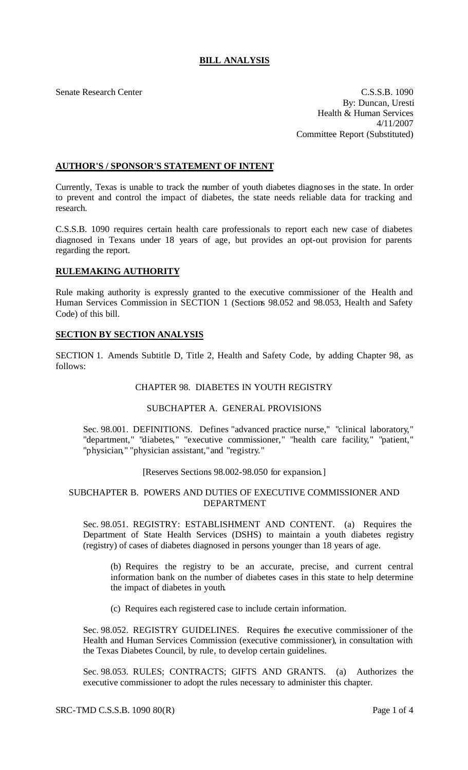# **BILL ANALYSIS**

Senate Research Center C.S.S.B. 1090 By: Duncan, Uresti Health & Human Services 4/11/2007 Committee Report (Substituted)

## **AUTHOR'S / SPONSOR'S STATEMENT OF INTENT**

Currently, Texas is unable to track the number of youth diabetes diagnoses in the state. In order to prevent and control the impact of diabetes, the state needs reliable data for tracking and research.

C.S.S.B. 1090 requires certain health care professionals to report each new case of diabetes diagnosed in Texans under 18 years of age, but provides an opt-out provision for parents regarding the report.

## **RULEMAKING AUTHORITY**

Rule making authority is expressly granted to the executive commissioner of the Health and Human Services Commission in SECTION 1 (Sections 98.052 and 98.053, Health and Safety Code) of this bill.

### **SECTION BY SECTION ANALYSIS**

SECTION 1. Amends Subtitle D, Title 2, Health and Safety Code, by adding Chapter 98, as follows:

### CHAPTER 98. DIABETES IN YOUTH REGISTRY

### SUBCHAPTER A. GENERAL PROVISIONS

Sec. 98.001. DEFINITIONS. Defines "advanced practice nurse," "clinical laboratory," "department," "diabetes," "executive commissioner," "health care facility," "patient," "physician," "physician assistant," and "registry."

#### [Reserves Sections 98.002-98.050 for expansion.]

#### SUBCHAPTER B. POWERS AND DUTIES OF EXECUTIVE COMMISSIONER AND DEPARTMENT

Sec. 98.051. REGISTRY: ESTABLISHMENT AND CONTENT. (a) Requires the Department of State Health Services (DSHS) to maintain a youth diabetes registry (registry) of cases of diabetes diagnosed in persons younger than 18 years of age.

(b) Requires the registry to be an accurate, precise, and current central information bank on the number of diabetes cases in this state to help determine the impact of diabetes in youth.

(c) Requires each registered case to include certain information.

Sec. 98.052. REGISTRY GUIDELINES. Requires the executive commissioner of the Health and Human Services Commission (executive commissioner), in consultation with the Texas Diabetes Council, by rule, to develop certain guidelines.

Sec. 98.053. RULES; CONTRACTS; GIFTS AND GRANTS. (a) Authorizes the executive commissioner to adopt the rules necessary to administer this chapter.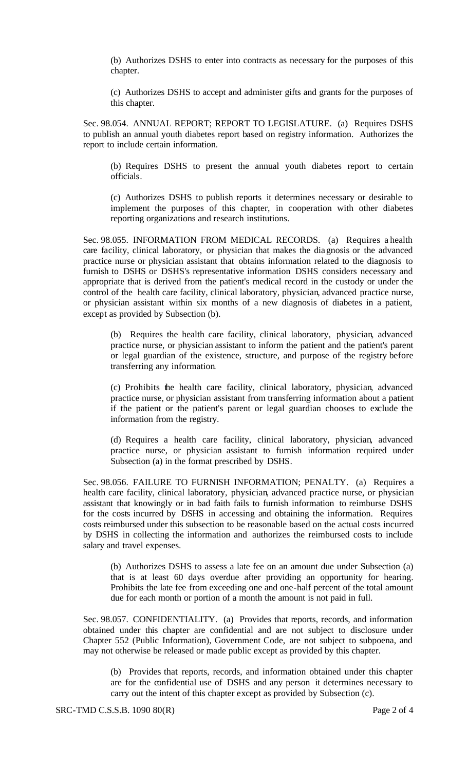(b) Authorizes DSHS to enter into contracts as necessary for the purposes of this chapter.

(c) Authorizes DSHS to accept and administer gifts and grants for the purposes of this chapter.

Sec. 98.054. ANNUAL REPORT; REPORT TO LEGISLATURE. (a) Requires DSHS to publish an annual youth diabetes report based on registry information. Authorizes the report to include certain information.

(b) Requires DSHS to present the annual youth diabetes report to certain officials.

(c) Authorizes DSHS to publish reports it determines necessary or desirable to implement the purposes of this chapter, in cooperation with other diabetes reporting organizations and research institutions.

Sec. 98.055. INFORMATION FROM MEDICAL RECORDS. (a) Requires a health care facility, clinical laboratory, or physician that makes the diagnosis or the advanced practice nurse or physician assistant that obtains information related to the diagnosis to furnish to DSHS or DSHS's representative information DSHS considers necessary and appropriate that is derived from the patient's medical record in the custody or under the control of the health care facility, clinical laboratory, physician, advanced practice nurse, or physician assistant within six months of a new diagnosis of diabetes in a patient, except as provided by Subsection (b).

(b) Requires the health care facility, clinical laboratory, physician, advanced practice nurse, or physician assistant to inform the patient and the patient's parent or legal guardian of the existence, structure, and purpose of the registry before transferring any information.

(c) Prohibits the health care facility, clinical laboratory, physician, advanced practice nurse, or physician assistant from transferring information about a patient if the patient or the patient's parent or legal guardian chooses to exclude the information from the registry.

(d) Requires a health care facility, clinical laboratory, physician, advanced practice nurse, or physician assistant to furnish information required under Subsection (a) in the format prescribed by DSHS.

Sec. 98.056. FAILURE TO FURNISH INFORMATION; PENALTY. (a) Requires a health care facility, clinical laboratory, physician, advanced practice nurse, or physician assistant that knowingly or in bad faith fails to furnish information to reimburse DSHS for the costs incurred by DSHS in accessing and obtaining the information. Requires costs reimbursed under this subsection to be reasonable based on the actual costs incurred by DSHS in collecting the information and authorizes the reimbursed costs to include salary and travel expenses.

(b) Authorizes DSHS to assess a late fee on an amount due under Subsection (a) that is at least 60 days overdue after providing an opportunity for hearing. Prohibits the late fee from exceeding one and one-half percent of the total amount due for each month or portion of a month the amount is not paid in full.

Sec. 98.057. CONFIDENTIALITY. (a) Provides that reports, records, and information obtained under this chapter are confidential and are not subject to disclosure under Chapter 552 (Public Information), Government Code, are not subject to subpoena, and may not otherwise be released or made public except as provided by this chapter.

(b) Provides that reports, records, and information obtained under this chapter are for the confidential use of DSHS and any person it determines necessary to carry out the intent of this chapter except as provided by Subsection (c).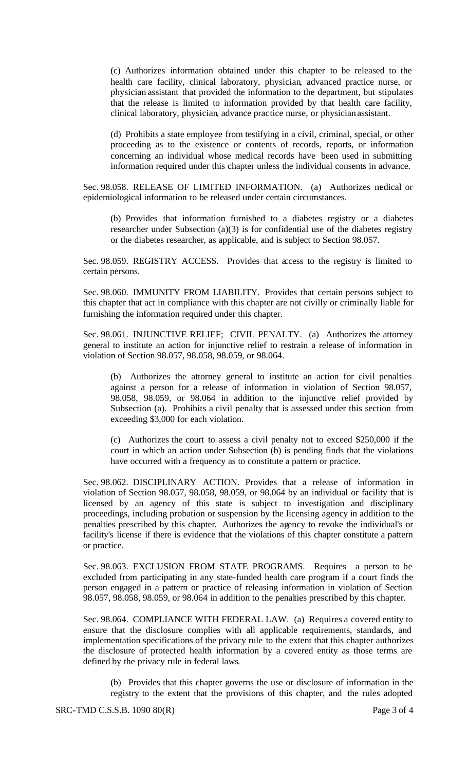(c) Authorizes information obtained under this chapter to be released to the health care facility, clinical laboratory, physician, advanced practice nurse, or physician assistant that provided the information to the department, but stipulates that the release is limited to information provided by that health care facility, clinical laboratory, physician, advance practice nurse, or physician assistant.

(d) Prohibits a state employee from testifying in a civil, criminal, special, or other proceeding as to the existence or contents of records, reports, or information concerning an individual whose medical records have been used in submitting information required under this chapter unless the individual consents in advance.

Sec. 98.058. RELEASE OF LIMITED INFORMATION. (a) Authorizes medical or epidemiological information to be released under certain circumstances.

(b) Provides that information furnished to a diabetes registry or a diabetes researcher under Subsection (a)(3) is for confidential use of the diabetes registry or the diabetes researcher, as applicable, and is subject to Section 98.057.

Sec. 98.059. REGISTRY ACCESS. Provides that access to the registry is limited to certain persons.

Sec. 98.060. IMMUNITY FROM LIABILITY. Provides that certain persons subject to this chapter that act in compliance with this chapter are not civilly or criminally liable for furnishing the information required under this chapter.

Sec. 98.061. INJUNCTIVE RELIEF; CIVIL PENALTY. (a) Authorizes the attorney general to institute an action for injunctive relief to restrain a release of information in violation of Section 98.057, 98.058, 98.059, or 98.064.

(b) Authorizes the attorney general to institute an action for civil penalties against a person for a release of information in violation of Section 98.057, 98.058, 98.059, or 98.064 in addition to the injunctive relief provided by Subsection (a). Prohibits a civil penalty that is assessed under this section from exceeding \$3,000 for each violation.

(c) Authorizes the court to assess a civil penalty not to exceed \$250,000 if the court in which an action under Subsection (b) is pending finds that the violations have occurred with a frequency as to constitute a pattern or practice.

Sec. 98.062. DISCIPLINARY ACTION. Provides that a release of information in violation of Section 98.057, 98.058, 98.059, or 98.064 by an individual or facility that is licensed by an agency of this state is subject to investigation and disciplinary proceedings, including probation or suspension by the licensing agency in addition to the penalties prescribed by this chapter. Authorizes the agency to revoke the individual's or facility's license if there is evidence that the violations of this chapter constitute a pattern or practice.

Sec. 98.063. EXCLUSION FROM STATE PROGRAMS. Requires a person to be excluded from participating in any state-funded health care program if a court finds the person engaged in a pattern or practice of releasing information in violation of Section 98.057, 98.058, 98.059, or 98.064 in addition to the penalties prescribed by this chapter.

Sec. 98.064. COMPLIANCE WITH FEDERAL LAW. (a) Requires a covered entity to ensure that the disclosure complies with all applicable requirements, standards, and implementation specifications of the privacy rule to the extent that this chapter authorizes the disclosure of protected health information by a covered entity as those terms are defined by the privacy rule in federal laws.

(b) Provides that this chapter governs the use or disclosure of information in the registry to the extent that the provisions of this chapter, and the rules adopted